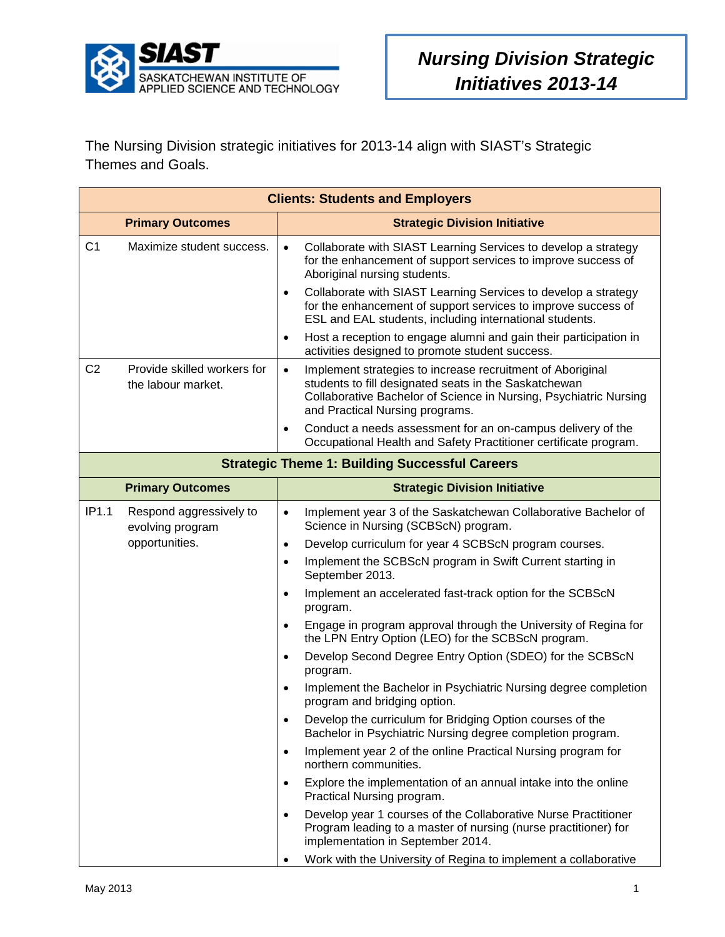

The Nursing Division strategic initiatives for 2013-14 align with SIAST's Strategic Themes and Goals.

|                | <b>Clients: Students and Employers</b>            |                                                                                                                                                                                                                                                                                                                                                                                         |  |  |
|----------------|---------------------------------------------------|-----------------------------------------------------------------------------------------------------------------------------------------------------------------------------------------------------------------------------------------------------------------------------------------------------------------------------------------------------------------------------------------|--|--|
|                | <b>Primary Outcomes</b>                           | <b>Strategic Division Initiative</b>                                                                                                                                                                                                                                                                                                                                                    |  |  |
| C <sub>1</sub> | Maximize student success.                         | Collaborate with SIAST Learning Services to develop a strategy<br>$\bullet$<br>for the enhancement of support services to improve success of<br>Aboriginal nursing students.<br>Collaborate with SIAST Learning Services to develop a strategy<br>$\bullet$<br>for the enhancement of support services to improve success of<br>ESL and EAL students, including international students. |  |  |
|                |                                                   | Host a reception to engage alumni and gain their participation in<br>$\bullet$<br>activities designed to promote student success.                                                                                                                                                                                                                                                       |  |  |
| C <sub>2</sub> | Provide skilled workers for<br>the labour market. | Implement strategies to increase recruitment of Aboriginal<br>$\bullet$<br>students to fill designated seats in the Saskatchewan<br>Collaborative Bachelor of Science in Nursing, Psychiatric Nursing<br>and Practical Nursing programs.                                                                                                                                                |  |  |
|                |                                                   | Conduct a needs assessment for an on-campus delivery of the<br>$\bullet$<br>Occupational Health and Safety Practitioner certificate program.                                                                                                                                                                                                                                            |  |  |
|                |                                                   | <b>Strategic Theme 1: Building Successful Careers</b>                                                                                                                                                                                                                                                                                                                                   |  |  |
|                | <b>Primary Outcomes</b>                           | <b>Strategic Division Initiative</b>                                                                                                                                                                                                                                                                                                                                                    |  |  |
| IP1.1          | Respond aggressively to<br>evolving program       | Implement year 3 of the Saskatchewan Collaborative Bachelor of<br>$\bullet$<br>Science in Nursing (SCBScN) program.                                                                                                                                                                                                                                                                     |  |  |
|                | opportunities.                                    | Develop curriculum for year 4 SCBScN program courses.<br>$\bullet$                                                                                                                                                                                                                                                                                                                      |  |  |
|                |                                                   | Implement the SCBScN program in Swift Current starting in<br>$\bullet$<br>September 2013.                                                                                                                                                                                                                                                                                               |  |  |
|                |                                                   | Implement an accelerated fast-track option for the SCBScN<br>$\bullet$<br>program.                                                                                                                                                                                                                                                                                                      |  |  |
|                |                                                   | Engage in program approval through the University of Regina for<br>$\bullet$<br>the LPN Entry Option (LEO) for the SCBScN program.                                                                                                                                                                                                                                                      |  |  |
|                |                                                   | Develop Second Degree Entry Option (SDEO) for the SCBScN<br>$\bullet$<br>program.                                                                                                                                                                                                                                                                                                       |  |  |
|                |                                                   | Implement the Bachelor in Psychiatric Nursing degree completion<br>$\bullet$<br>program and bridging option.                                                                                                                                                                                                                                                                            |  |  |
|                |                                                   | Develop the curriculum for Bridging Option courses of the<br>Bachelor in Psychiatric Nursing degree completion program.                                                                                                                                                                                                                                                                 |  |  |
|                |                                                   | Implement year 2 of the online Practical Nursing program for<br>$\bullet$<br>northern communities.                                                                                                                                                                                                                                                                                      |  |  |
|                |                                                   | Explore the implementation of an annual intake into the online<br>$\bullet$<br>Practical Nursing program.                                                                                                                                                                                                                                                                               |  |  |
|                |                                                   | Develop year 1 courses of the Collaborative Nurse Practitioner<br>$\bullet$<br>Program leading to a master of nursing (nurse practitioner) for<br>implementation in September 2014.                                                                                                                                                                                                     |  |  |
|                |                                                   | Work with the University of Regina to implement a collaborative<br>$\bullet$                                                                                                                                                                                                                                                                                                            |  |  |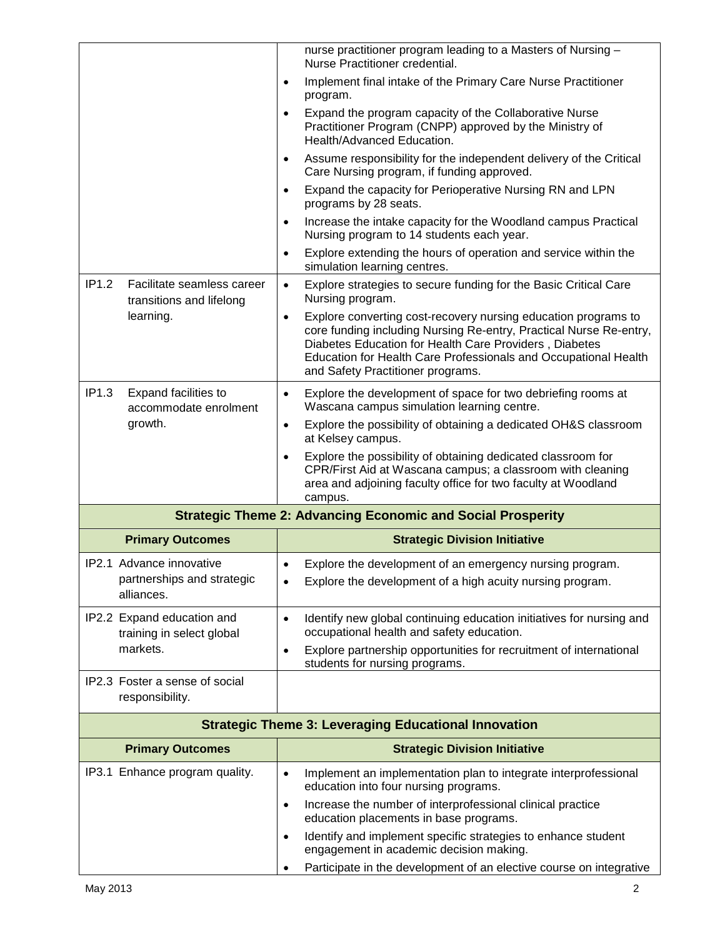|                                                                 | nurse practitioner program leading to a Masters of Nursing -<br>Nurse Practitioner credential.                                                                                                                                                                                                                      |
|-----------------------------------------------------------------|---------------------------------------------------------------------------------------------------------------------------------------------------------------------------------------------------------------------------------------------------------------------------------------------------------------------|
|                                                                 | Implement final intake of the Primary Care Nurse Practitioner<br>$\bullet$<br>program.                                                                                                                                                                                                                              |
|                                                                 | Expand the program capacity of the Collaborative Nurse<br>$\bullet$<br>Practitioner Program (CNPP) approved by the Ministry of<br>Health/Advanced Education.                                                                                                                                                        |
|                                                                 | Assume responsibility for the independent delivery of the Critical<br>$\bullet$<br>Care Nursing program, if funding approved.                                                                                                                                                                                       |
|                                                                 | Expand the capacity for Perioperative Nursing RN and LPN<br>$\bullet$<br>programs by 28 seats.                                                                                                                                                                                                                      |
|                                                                 | Increase the intake capacity for the Woodland campus Practical<br>$\bullet$<br>Nursing program to 14 students each year.                                                                                                                                                                                            |
|                                                                 | Explore extending the hours of operation and service within the<br>$\bullet$<br>simulation learning centres.                                                                                                                                                                                                        |
| IP1.2<br>Facilitate seamless career<br>transitions and lifelong | Explore strategies to secure funding for the Basic Critical Care<br>$\bullet$<br>Nursing program.                                                                                                                                                                                                                   |
| learning.                                                       | Explore converting cost-recovery nursing education programs to<br>$\bullet$<br>core funding including Nursing Re-entry, Practical Nurse Re-entry,<br>Diabetes Education for Health Care Providers, Diabetes<br>Education for Health Care Professionals and Occupational Health<br>and Safety Practitioner programs. |
| IP1.3<br>Expand facilities to<br>accommodate enrolment          | Explore the development of space for two debriefing rooms at<br>$\bullet$<br>Wascana campus simulation learning centre.                                                                                                                                                                                             |
| growth.                                                         | Explore the possibility of obtaining a dedicated OH&S classroom<br>$\bullet$<br>at Kelsey campus.                                                                                                                                                                                                                   |
|                                                                 | Explore the possibility of obtaining dedicated classroom for<br>$\bullet$<br>CPR/First Aid at Wascana campus; a classroom with cleaning                                                                                                                                                                             |
|                                                                 | area and adjoining faculty office for two faculty at Woodland<br>campus.                                                                                                                                                                                                                                            |
|                                                                 | <b>Strategic Theme 2: Advancing Economic and Social Prosperity</b>                                                                                                                                                                                                                                                  |
| <b>Primary Outcomes</b>                                         | <b>Strategic Division Initiative</b>                                                                                                                                                                                                                                                                                |
| IP2.1 Advance innovative                                        | Explore the development of an emergency nursing program.<br>$\bullet$                                                                                                                                                                                                                                               |
| partnerships and strategic<br>alliances.                        | Explore the development of a high acuity nursing program.<br>$\bullet$                                                                                                                                                                                                                                              |
| IP2.2 Expand education and<br>training in select global         | Identify new global continuing education initiatives for nursing and<br>$\bullet$<br>occupational health and safety education.                                                                                                                                                                                      |
| markets.                                                        | Explore partnership opportunities for recruitment of international<br>$\bullet$<br>students for nursing programs.                                                                                                                                                                                                   |
| IP2.3 Foster a sense of social<br>responsibility.               |                                                                                                                                                                                                                                                                                                                     |
|                                                                 | <b>Strategic Theme 3: Leveraging Educational Innovation</b>                                                                                                                                                                                                                                                         |
| <b>Primary Outcomes</b>                                         | <b>Strategic Division Initiative</b>                                                                                                                                                                                                                                                                                |
| IP3.1 Enhance program quality.                                  | Implement an implementation plan to integrate interprofessional<br>$\bullet$<br>education into four nursing programs.                                                                                                                                                                                               |
|                                                                 | Increase the number of interprofessional clinical practice<br>$\bullet$<br>education placements in base programs.                                                                                                                                                                                                   |
|                                                                 | Identify and implement specific strategies to enhance student<br>$\bullet$<br>engagement in academic decision making.                                                                                                                                                                                               |